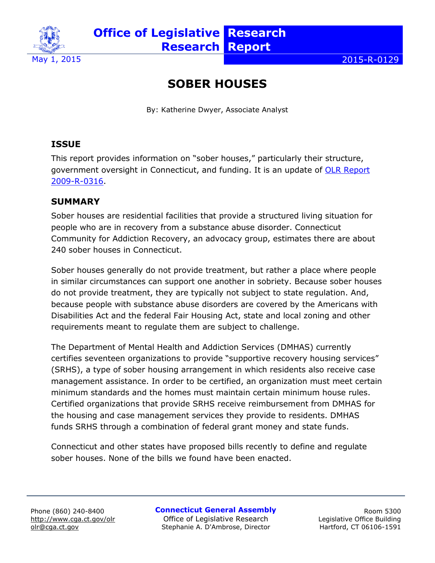

 $\sim$  2015-R-0129

# **SOBER HOUSES**

By: Katherine Dwyer, Associate Analyst

# **ISSUE**

This report provides information on "sober houses," particularly their structure, government oversight in Connecticut, and funding. It is an update of **OLR Report** [2009-R-0316.](http://cga.ct.gov/2009/rpt/2009-R-0316.htm)

#### **SUMMARY**

Sober houses are residential facilities that provide a structured living situation for people who are in recovery from a substance abuse disorder. Connecticut Community for Addiction Recovery, an advocacy group, estimates there are about 240 sober houses in Connecticut.

Sober houses generally do not provide treatment, but rather a place where people in similar circumstances can support one another in sobriety. Because sober houses do not provide treatment, they are typically not subject to state regulation. And, because people with substance abuse disorders are covered by the Americans with Disabilities Act and the federal Fair Housing Act, state and local zoning and other requirements meant to regulate them are subject to challenge.

The Department of Mental Health and Addiction Services (DMHAS) currently certifies seventeen organizations to provide "supportive recovery housing services" (SRHS), a type of sober housing arrangement in which residents also receive case management assistance. In order to be certified, an organization must meet certain minimum standards and the homes must maintain certain minimum house rules. Certified organizations that provide SRHS receive reimbursement from DMHAS for the housing and case management services they provide to residents. DMHAS funds SRHS through a combination of federal grant money and state funds.

Connecticut and other states have proposed bills recently to define and regulate sober houses. None of the bills we found have been enacted.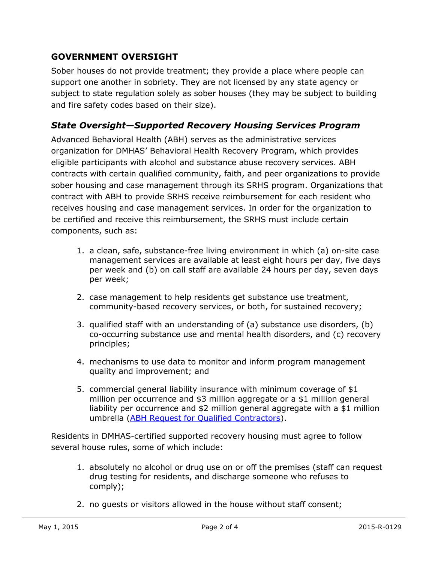#### **GOVERNMENT OVERSIGHT**

Sober houses do not provide treatment; they provide a place where people can support one another in sobriety. They are not licensed by any state agency or subject to state regulation solely as sober houses (they may be subject to building and fire safety codes based on their size).

#### *State Oversight—Supported Recovery Housing Services Program*

Advanced Behavioral Health (ABH) serves as the administrative services organization for DMHAS' Behavioral Health Recovery Program, which provides eligible participants with alcohol and substance abuse recovery services. ABH contracts with certain qualified community, faith, and peer organizations to provide sober housing and case management through its SRHS program. Organizations that contract with ABH to provide SRHS receive reimbursement for each resident who receives housing and case management services. In order for the organization to be certified and receive this reimbursement, the SRHS must include certain components, such as:

- 1. a clean, safe, substance-free living environment in which (a) on-site case management services are available at least eight hours per day, five days per week and (b) on call staff are available 24 hours per day, seven days per week;
- 2. case management to help residents get substance use treatment, community-based recovery services, or both, for sustained recovery;
- 3. qualified staff with an understanding of (a) substance use disorders, (b) co-occurring substance use and mental health disorders, and (c) recovery principles;
- 4. mechanisms to use data to monitor and inform program management quality and improvement; and
- 5. commercial general liability insurance with minimum coverage of \$1 million per occurrence and \$3 million aggregate or a \$1 million general liability per occurrence and \$2 million general aggregate with a \$1 million umbrella [\(ABH Request for Qualified Contractors\)](http://www.abhct.com/Customer-Content/WWW/CMS/files/BHRP-B/ABH_SRHS_RFQC_May15_v3.pdf).

Residents in DMHAS-certified supported recovery housing must agree to follow several house rules, some of which include:

- 1. absolutely no alcohol or drug use on or off the premises (staff can request drug testing for residents, and discharge someone who refuses to comply);
- 2. no guests or visitors allowed in the house without staff consent;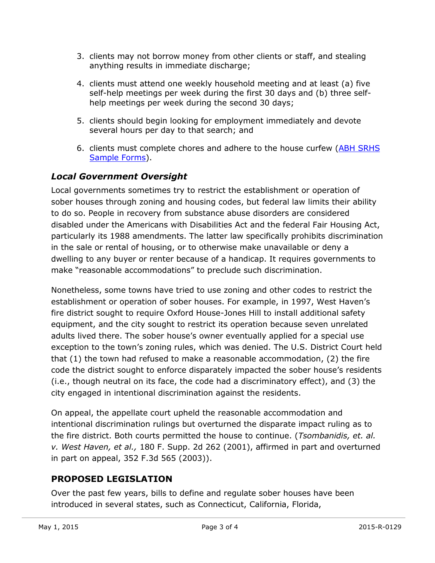- 3. clients may not borrow money from other clients or staff, and stealing anything results in immediate discharge;
- 4. clients must attend one weekly household meeting and at least (a) five self-help meetings per week during the first 30 days and (b) three selfhelp meetings per week during the second 30 days;
- 5. clients should begin looking for employment immediately and devote several hours per day to that search; and
- 6. clients must complete chores and adhere to the house curfew (ABH SRHS [Sample Forms\)](http://www.abhct.com/Customer-Content/WWW/CMS/files/BHRP-_clinical/Supported%20Recovery%20Housing%20Forms.pdf).

#### *Local Government Oversight*

Local governments sometimes try to restrict the establishment or operation of sober houses through zoning and housing codes, but federal law limits their ability to do so. People in recovery from substance abuse disorders are considered disabled under the Americans with Disabilities Act and the federal Fair Housing Act, particularly its 1988 amendments. The latter law specifically prohibits discrimination in the sale or rental of housing, or to otherwise make unavailable or deny a dwelling to any buyer or renter because of a handicap. It requires governments to make "reasonable accommodations" to preclude such discrimination.

Nonetheless, some towns have tried to use zoning and other codes to restrict the establishment or operation of sober houses. For example, in 1997, West Haven's fire district sought to require Oxford House-Jones Hill to install additional safety equipment, and the city sought to restrict its operation because seven unrelated adults lived there. The sober house's owner eventually applied for a special use exception to the town's zoning rules, which was denied. The U.S. District Court held that (1) the town had refused to make a reasonable accommodation, (2) the fire code the district sought to enforce disparately impacted the sober house's residents (i.e., though neutral on its face, the code had a discriminatory effect), and (3) the city engaged in intentional discrimination against the residents.

On appeal, the appellate court upheld the reasonable accommodation and intentional discrimination rulings but overturned the disparate impact ruling as to the fire district. Both courts permitted the house to continue. (*Tsombanidis, et. al. v. West Haven, et al.,* 180 F. Supp. 2d 262 (2001), affirmed in part and overturned in part on appeal, 352 F.3d 565 (2003)).

## **PROPOSED LEGISLATION**

Over the past few years, bills to define and regulate sober houses have been introduced in several states, such as Connecticut, California, Florida,